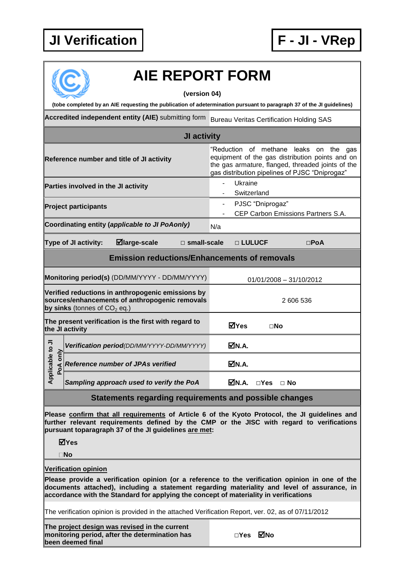## **JI Verification F - JI - VRep**



## **AIE REPORT FORM**

**(version 04)**

**(tobe completed by an AIE requesting the publication of adetermination pursuant to paragraph 37 of the JI guidelines)**

**Accredited independent entity (AIE)** submitting form Bureau Veritas Certification Holding SAS

| JI activity                                                                                                                                                                                                                                                                             |                                                                                                                                                                                                  |  |  |
|-----------------------------------------------------------------------------------------------------------------------------------------------------------------------------------------------------------------------------------------------------------------------------------------|--------------------------------------------------------------------------------------------------------------------------------------------------------------------------------------------------|--|--|
| Reference number and title of JI activity                                                                                                                                                                                                                                               | "Reduction of methane leaks on the gas<br>equipment of the gas distribution points and on<br>the gas armature, flanged, threaded joints of the<br>gas distribution pipelines of PJSC "Dniprogaz" |  |  |
| Parties involved in the JI activity                                                                                                                                                                                                                                                     | Ukraine<br>Switzerland                                                                                                                                                                           |  |  |
| <b>Project participants</b>                                                                                                                                                                                                                                                             | PJSC "Dniprogaz"<br>$\blacksquare$<br>CEP Carbon Emissions Partners S.A.                                                                                                                         |  |  |
| Coordinating entity (applicable to JI PoAonly)                                                                                                                                                                                                                                          | N/a                                                                                                                                                                                              |  |  |
| $\blacksquare$ large-scale<br><b>Type of JI activity:</b><br>$\Box$ small-scale                                                                                                                                                                                                         | □ LULUCF<br>$\square$ PoA                                                                                                                                                                        |  |  |
| <b>Emission reductions/Enhancements of removals</b>                                                                                                                                                                                                                                     |                                                                                                                                                                                                  |  |  |
| Monitoring period(s) (DD/MM/YYYY - DD/MM/YYYY)                                                                                                                                                                                                                                          | $01/01/2008 - 31/10/2012$                                                                                                                                                                        |  |  |
| Verified reductions in anthropogenic emissions by<br>sources/enhancements of anthropogenic removals<br>by sinks (tonnes of $CO2$ eq.)                                                                                                                                                   | 2 606 536                                                                                                                                                                                        |  |  |
| The present verification is the first with regard to<br>the JI activity                                                                                                                                                                                                                 | ⊠Yes<br>$\square$ No                                                                                                                                                                             |  |  |
| Verification period(DD/MM/YYYY-DD/MM/YYYY)                                                                                                                                                                                                                                              | MN.A.                                                                                                                                                                                            |  |  |
| Applicable to JI<br>only<br>Reference number of JPAs verified<br>PoA                                                                                                                                                                                                                    | ØN.A.                                                                                                                                                                                            |  |  |
| Sampling approach used to verify the PoA                                                                                                                                                                                                                                                | <b>⊠N.A.</b><br>$\Box$ Yes $\Box$ No                                                                                                                                                             |  |  |
| Statements regarding requirements and possible changes                                                                                                                                                                                                                                  |                                                                                                                                                                                                  |  |  |
| Please confirm that all requirements of Article 6 of the Kyoto Protocol, the JI guidelines and<br>further relevant requirements defined by the CMP or the JISC with regard to verifications<br>pursuant toparagraph 37 of the JI guidelines are met:<br>⊠Yes                            |                                                                                                                                                                                                  |  |  |
| $\square$ No                                                                                                                                                                                                                                                                            |                                                                                                                                                                                                  |  |  |
| <b>Verification opinion</b>                                                                                                                                                                                                                                                             |                                                                                                                                                                                                  |  |  |
| Please provide a verification opinion (or a reference to the verification opinion in one of the<br>documents attached), including a statement regarding materiality and level of assurance, in<br>accordance with the Standard for applying the concept of materiality in verifications |                                                                                                                                                                                                  |  |  |

The verification opinion is provided in the attached Verification Report, ver. 02, as of 07/11/2012

**The project design was revised in the current monitoring period, after the determination has been deemed final**